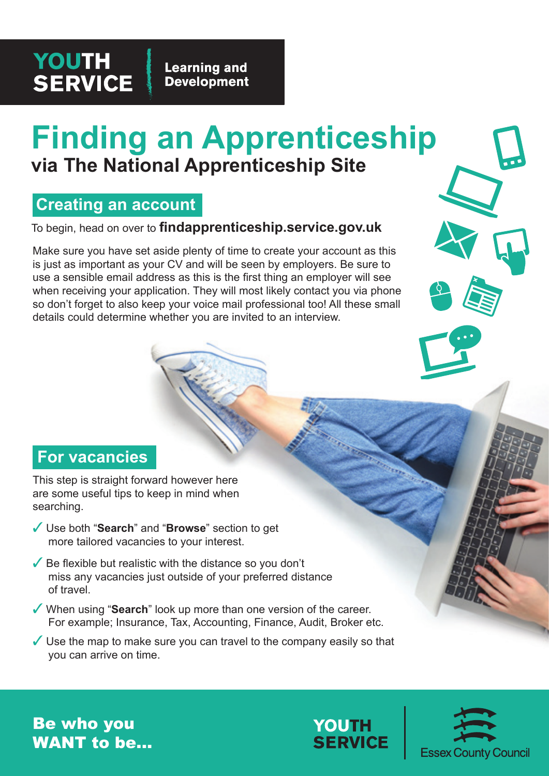## **YOUTH SERVICE**

**Learning and Development** 

# **Finding an Apprenticeship via The National Apprenticeship Site**

### **Creating an account**

To begin, head on over to **findapprenticeship.service.gov.uk**

Make sure you have set aside plenty of time to create your account as this is just as important as your CV and will be seen by employers. Be sure to use a sensible email address as this is the first thing an employer will see when receiving your application. They will most likely contact you via phone so don't forget to also keep your voice mail professional too! All these small details could determine whether you are invited to an interview.

#### **For vacancies**

This step is straight forward however here are some useful tips to keep in mind when searching.

- ✓ Use both "**Search**" and "**Browse**" section to get more tailored vacancies to your interest.
- $\sqrt{\ }$  Be flexible but realistic with the distance so you don't miss any vacancies just outside of your preferred distance of travel.
- ✓ When using "**Search**" look up more than one version of the career. For example; Insurance, Tax, Accounting, Finance, Audit, Broker etc.
- $\checkmark$  Use the map to make sure you can travel to the company easily so that you can arrive on time.

Be who you WANT to be...